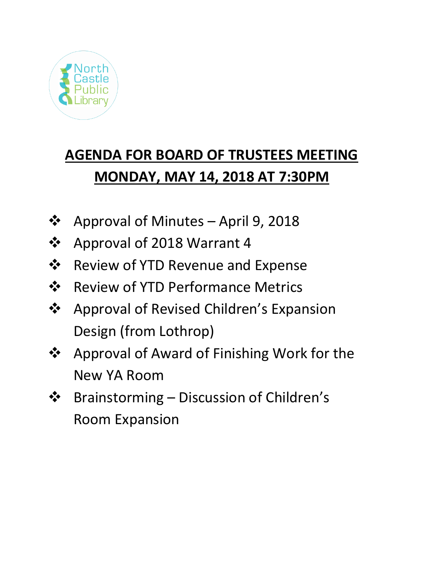

# **AGENDA FOR BOARD OF TRUSTEES MEETING MONDAY, MAY 14, 2018 AT 7:30PM**

- ❖ Approval of Minutes April 9, 2018
- ❖ Approval of 2018 Warrant 4
- ❖ Review of YTD Revenue and Expense
- ❖ Review of YTD Performance Metrics
- ❖ Approval of Revised Children's Expansion Design (from Lothrop)
- ❖ Approval of Award of Finishing Work for the New YA Room
- ❖ Brainstorming Discussion of Children's Room Expansion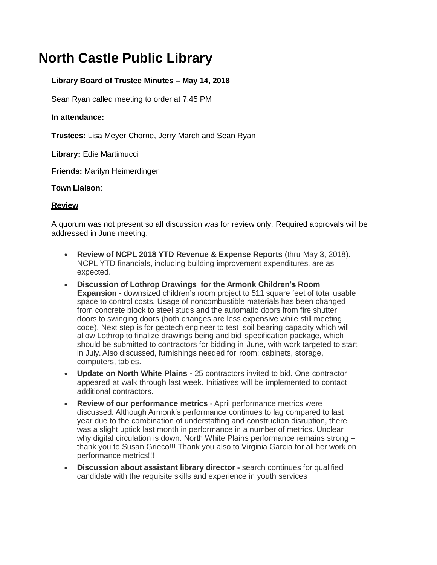## **North Castle Public Library**

### **Library Board of Trustee Minutes – May 14, 2018**

Sean Ryan called meeting to order at 7:45 PM

#### **In attendance:**

**Trustees:** Lisa Meyer Chorne, Jerry March and Sean Ryan

**Library:** Edie Martimucci

**Friends:** Marilyn Heimerdinger

#### **Town Liaison**:

#### **Review**

A quorum was not present so all discussion was for review only. Required approvals will be addressed in June meeting.

- **Review of NCPL 2018 YTD Revenue & Expense Reports** (thru May 3, 2018). NCPL YTD financials, including building improvement expenditures, are as expected.
- **Discussion of Lothrop Drawings for the Armonk Children's Room Expansion** - downsized children's room project to 511 square feet of total usable space to control costs. Usage of noncombustible materials has been changed from concrete block to steel studs and the automatic doors from fire shutter doors to swinging doors (both changes are less expensive while still meeting code). Next step is for geotech engineer to test soil bearing capacity which will allow Lothrop to finalize drawings being and bid specification package, which should be submitted to contractors for bidding in June, with work targeted to start in July. Also discussed, furnishings needed for room: cabinets, storage, computers, tables.
- **Update on North White Plains -** 25 contractors invited to bid. One contractor appeared at walk through last week. Initiatives will be implemented to contact additional contractors.
- **Review of our performance metrics**  April performance metrics were discussed. Although Armonk's performance continues to lag compared to last year due to the combination of understaffing and construction disruption, there was a slight uptick last month in performance in a number of metrics. Unclear why digital circulation is down. North White Plains performance remains strong – thank you to Susan Grieco!!! Thank you also to Virginia Garcia for all her work on performance metrics!!!
- **Discussion about assistant library director -** search continues for qualified candidate with the requisite skills and experience in youth services